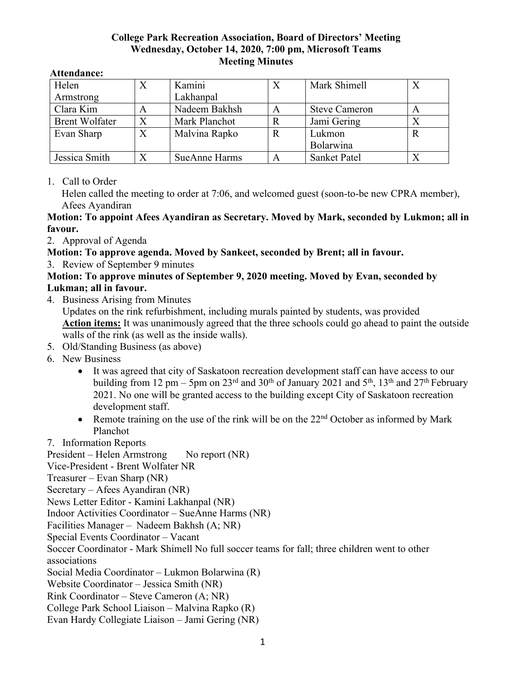### **College Park Recreation Association, Board of Directors' Meeting Wednesday, October 14, 2020, 7:00 pm, Microsoft Teams Meeting Minutes**

| Helen                 | Kamini        | Χ | Mark Shimell         |  |
|-----------------------|---------------|---|----------------------|--|
| Armstrong             | Lakhanpal     |   |                      |  |
| Clara Kim             | Nadeem Bakhsh | A | <b>Steve Cameron</b> |  |
| <b>Brent Wolfater</b> | Mark Planchot | R | Jami Gering          |  |
| Evan Sharp            | Malvina Rapko | R | Lukmon               |  |
|                       |               |   | Bolarwina            |  |
| Jessica Smith         | SueAnne Harms | A | <b>Sanket Patel</b>  |  |

#### **Attendance:**

### 1. Call to Order

Helen called the meeting to order at 7:06, and welcomed guest (soon-to-be new CPRA member), Afees Ayandiran

## **Motion: To appoint Afees Ayandiran as Secretary. Moved by Mark, seconded by Lukmon; all in favour.**

2. Approval of Agenda

**Motion: To approve agenda. Moved by Sankeet, seconded by Brent; all in favour.**

3. Review of September 9 minutes

# **Motion: To approve minutes of September 9, 2020 meeting. Moved by Evan, seconded by Lukman; all in favour.**

4. Business Arising from Minutes

Updates on the rink refurbishment, including murals painted by students, was provided **Action items:** It was unanimously agreed that the three schools could go ahead to paint the outside walls of the rink (as well as the inside walls).

- 5. Old/Standing Business (as above)
- 6. New Business
	- It was agreed that city of Saskatoon recreation development staff can have access to our building from 12 pm – 5pm on 23<sup>rd</sup> and 30<sup>th</sup> of January 2021 and 5<sup>th</sup>, 13<sup>th</sup> and 27<sup>th</sup> February 2021. No one will be granted access to the building except City of Saskatoon recreation development staff.
	- Remote training on the use of the rink will be on the  $22<sup>nd</sup>$  October as informed by Mark Planchot
- 7. Information Reports

President – Helen Armstrong No report (NR) Vice-President - Brent Wolfater NR Treasurer – Evan Sharp (NR) Secretary – Afees Ayandiran (NR) News Letter Editor - Kamini Lakhanpal (NR) Indoor Activities Coordinator – SueAnne Harms (NR) Facilities Manager – Nadeem Bakhsh (A; NR) Special Events Coordinator – Vacant Soccer Coordinator - Mark Shimell No full soccer teams for fall; three children went to other associations Social Media Coordinator – Lukmon Bolarwina (R) Website Coordinator – Jessica Smith (NR) Rink Coordinator – Steve Cameron (A; NR) College Park School Liaison – Malvina Rapko (R) Evan Hardy Collegiate Liaison – Jami Gering (NR)